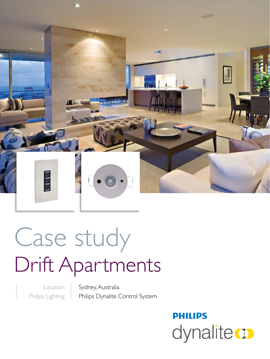

# Case study Drift Apartments

Location Philips Lighting Sydney, Australia Philips Dynalite Control System

## **PHILIPS** dynalite **o**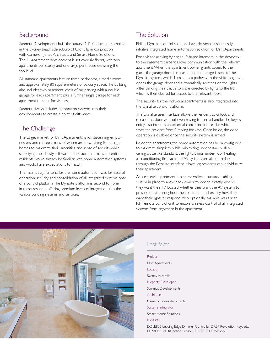#### **Background**

Sammut Developments built the luxury Drift Apartment complex in the Sydney beachside suburb of Cronulla, in conjunction with Cameron Jones Architects and Smart Home Solutions. The 11-apartment development is set over six floors, with two apartments per storey and one large penthouse crowning the top level.

All standard apartments feature three bedrooms, a media room and approximately 80 square-meters of balcony space. The building also includes two basement levels of car parking with a double garage for each apartment, plus a further single garage for each apartment to cater for visitors.

Sammut always includes automation systems into their developments to create a point of difference.

#### The Challenge

The target market for Drift Apartments is for discerning 'emptynesters' and retirees, many of whom are downsizing from larger homes to maximize their amenities and sense of security, while simplifying their lifestyle. It was understood that many potential residents would already be familiar with home automation systems and would have expectations to match.

The main design criteria for the home automation was for ease of operation, security and consolidation of all integrated systems onto one control platform. The Dynalite platform is second to none in these respects, offering premium levels of integration into the various building systems and services.

#### The Solution

Philips Dynalite control solutions have delivered a seamlessly intuitive integrated home automation solution for Drift Apartments.

For a visitor arriving by car, an IP-based intercom in the driveway to the basement carpark allows communication with the relevant apartment. When the apartment owner grants access to their guest, the garage door is released and a message is sent to the Dynalite system, which illuminates a pathway to the visitor's garage, opens the garage door and automatically switches on the lights. After parking their car, visitors are directed by lights to the lift, which is then cleared for access to the relevant floor.

The security for the individual apartments is also integrated into the Dynalite control platform.

The Dynalite user interface allows the resident to unlock and release the door without even having to turn a handle. The keyless entry also includes an external concealed fob reader, which saves the resident from fumbling for keys. Once inside, the door operation is disabled once the security system is armed.

Inside the apartments, the home automation has been configured to maximize simplicity while minimizing unnecessary wall or ceiling clutter. As standard, the lights, blinds, under-floor heating, air conditioning, fireplace and AV systems are all controllable through the Dynalite interface. However, residents can individualize their apartment.

As such, each apartment has an extensive structured cabling system in place to allow each owner to decide exactly where they want their TV located, whether they want the AV system to provide music throughout the apartment and exactly how they want their lights to respond. Also optionally available was for an RTI remote control unit to enable wireless control of all integrated systems from anywhere in the apartment.



#### Fast facts

| Project                                                                                                               |
|-----------------------------------------------------------------------------------------------------------------------|
| Drift Apartments                                                                                                      |
| Location                                                                                                              |
| Sydney, Australia                                                                                                     |
| <b>Property Developer</b>                                                                                             |
| Sammut Developments                                                                                                   |
| Architects                                                                                                            |
| Cameron Jones Architrects                                                                                             |
| Systems Integrator                                                                                                    |
| <b>Smart Home Solutions</b>                                                                                           |
| Products                                                                                                              |
| DDLE802 Leading Edge Dimmer Controller, DR2P Revolution Keypads,<br>DUS804C Multifunction Sensors, DDTC001 Timeclock. |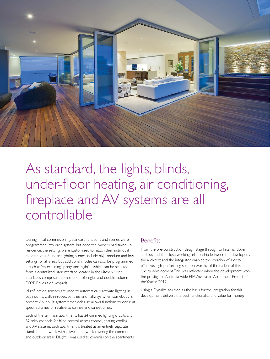

### As standard, the lights, blinds, under-floor heating, air conditioning, fireplace and AV systems are all controllable

During initial commissioning, standard functions and scenes were programmed into each system, but once the owners had taken up residence, the settings were customized to match their individual expectations. Standard lighting scenes include high, medium and low settings for all areas, but additional modes can also be programmed – such as 'entertaining', 'party' and 'night' – which can be selected from a centralized user interface located in the kitchen. User interfaces comprise a combination of single- and double-column DR2P Revolution keypads.

Multifunction sensors are used to automatically activate lighting in bathrooms, walk-in-robes, pantries and hallways when somebody is present. An inbuilt system timeclock also allows functions to occur at specified times or relative to sunrise and sunset times.

Each of the ten main apartments has 24 dimmed lighting circuits and 32 relay channels for blind control, access control, heating, cooling and AV systems. Each apartment is treated as an entirely separate standalone network, with a twelfth network covering the common and outdoor areas. DLight II was used to commission the apartments.

#### **Benefits**

From the pre-construction design stage through to final handover and beyond, the close working relationship between the developers, the architect and the integrator enabled the creation of a costeffective, high-performing solution worthy of the caliber of this luxury development. This was reflected when the development won the prestigious Australia-wide HIA Australian Apartment Project of the Year in 2012.

Using a Dynalite solution as the basis for the integration for this development delivers the best functionality and value for money.